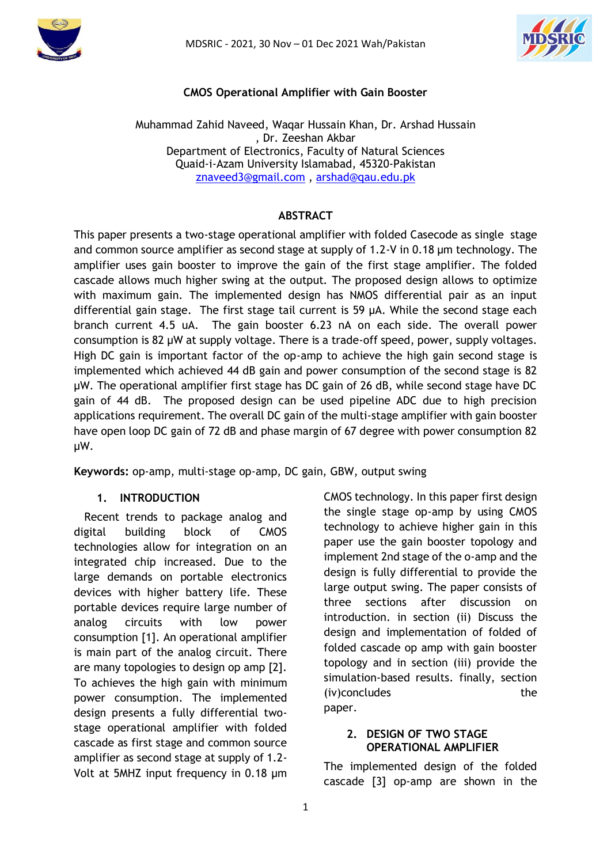



# **CMOS Operational Amplifier with Gain Booster**

#### Muhammad Zahid Naveed, Waqar Hussain Khan, Dr. Arshad Hussain , Dr. Zeeshan Akbar Department of Electronics, Faculty of Natural Sciences Quaid-i-Azam University Islamabad, 45320-Pakistan [znaveed3@gmail.com](mailto:znaveed3@gmail.com) , [arshad@qau.edu.pk](mailto:arshad@qau.edu.pk)

# **ABSTRACT**

This paper presents a two-stage operational amplifier with folded Casecode as single stage and common source amplifier as second stage at supply of 1.2-V in 0.18 µm technology. The amplifier uses gain booster to improve the gain of the first stage amplifier. The folded cascade allows much higher swing at the output. The proposed design allows to optimize with maximum gain. The implemented design has NMOS differential pair as an input differential gain stage. The first stage tail current is 59 µA. While the second stage each branch current 4.5 uA. The gain booster 6.23 nA on each side. The overall power consumption is 82 µW at supply voltage. There is a trade-off speed, power, supply voltages. High DC gain is important factor of the op-amp to achieve the high gain second stage is implemented which achieved 44 dB gain and power consumption of the second stage is 82 µW. The operational amplifier first stage has DC gain of 26 dB, while second stage have DC gain of 44 dB. The proposed design can be used pipeline ADC due to high precision applications requirement. The overall DC gain of the multi-stage amplifier with gain booster have open loop DC gain of 72 dB and phase margin of 67 degree with power consumption 82 µW.

**Keywords:** op-amp, multi-stage op-amp, DC gain, GBW, output swing

## **1. INTRODUCTION**

 Recent trends to package analog and digital building block of CMOS technologies allow for integration on an integrated chip increased. Due to the large demands on portable electronics devices with higher battery life. These portable devices require large number of analog circuits with low power consumption [1]. An operational amplifier is main part of the analog circuit. There are many topologies to design op amp [2]. To achieves the high gain with minimum power consumption. The implemented design presents a fully differential twostage operational amplifier with folded cascade as first stage and common source amplifier as second stage at supply of 1.2- Volt at 5MHZ input frequency in 0.18 µm CMOS technology. In this paper first design the single stage op-amp by using CMOS technology to achieve higher gain in this paper use the gain booster topology and implement 2nd stage of the o-amp and the design is fully differential to provide the large output swing. The paper consists of three sections after discussion on introduction. in section (ii) Discuss the design and implementation of folded of folded cascade op amp with gain booster topology and in section (iii) provide the simulation-based results. finally, section (iv)concludes the paper.

## **2. DESIGN OF TWO STAGE OPERATIONAL AMPLIFIER**

The implemented design of the folded cascade [3] op-amp are shown in the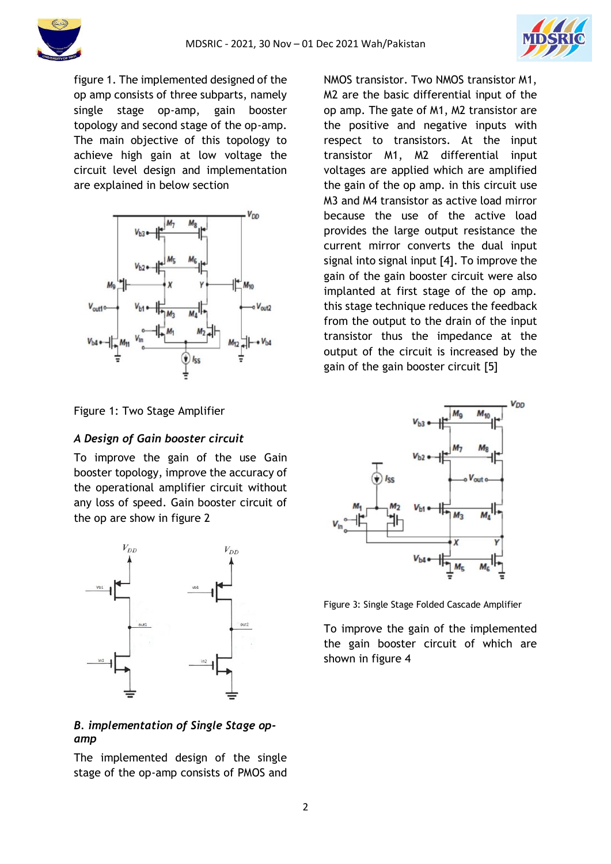



figure 1. The implemented designed of the op amp consists of three subparts, namely single stage op-amp, gain booster topology and second stage of the op-amp. The main objective of this topology to achieve high gain at low voltage the circuit level design and implementation are explained in below section



Figure 1: Two Stage Amplifier

# *A Design of Gain booster circuit*

To improve the gain of the use Gain booster topology, improve the accuracy of the operational amplifier circuit without any loss of speed. Gain booster circuit of the op are show in figure 2



# *B. implementation of Single Stage opamp*

The implemented design of the single stage of the op-amp consists of PMOS and NMOS transistor. Two NMOS transistor M1, M2 are the basic differential input of the op amp. The gate of M1, M2 transistor are the positive and negative inputs with respect to transistors. At the input transistor M1, M2 differential input voltages are applied which are amplified the gain of the op amp. in this circuit use M3 and M4 transistor as active load mirror because the use of the active load provides the large output resistance the current mirror converts the dual input signal into signal input [4]. To improve the gain of the gain booster circuit were also implanted at first stage of the op amp. this stage technique reduces the feedback from the output to the drain of the input transistor thus the impedance at the output of the circuit is increased by the gain of the gain booster circuit [5]



Figure 3: Single Stage Folded Cascade Amplifier

To improve the gain of the implemented the gain booster circuit of which are shown in figure 4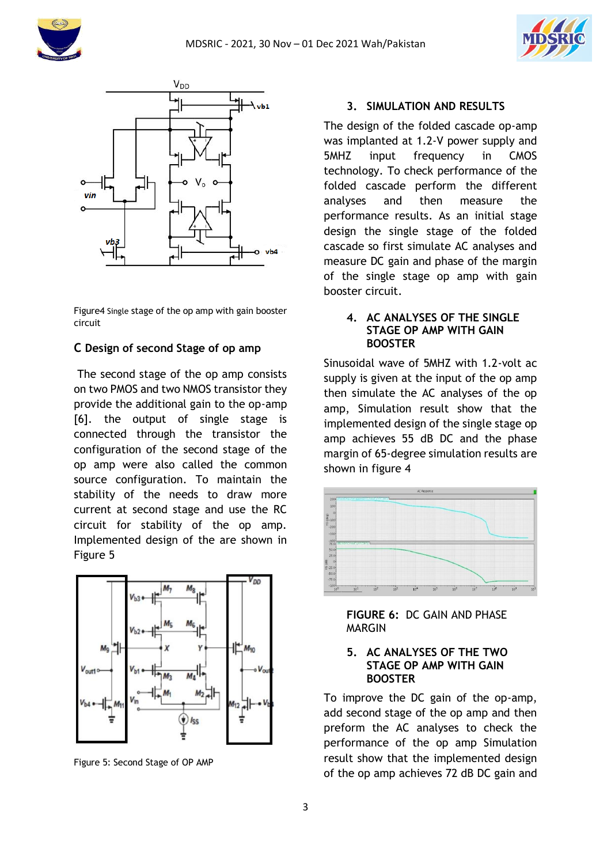





Figure4 Single stage of the op amp with gain booster circuit

## **C Design of second Stage of op amp**

The second stage of the op amp consists on two PMOS and two NMOS transistor they provide the additional gain to the op-amp [6]. the output of single stage is connected through the transistor the configuration of the second stage of the op amp were also called the common source configuration. To maintain the stability of the needs to draw more current at second stage and use the RC circuit for stability of the op amp. Implemented design of the are shown in Figure 5



Figure 5: Second Stage of OP AMP

# **3. SIMULATION AND RESULTS**

The design of the folded cascade op-amp was implanted at 1.2-V power supply and 5MHZ input frequency in CMOS technology. To check performance of the folded cascade perform the different analyses and then measure the performance results. As an initial stage design the single stage of the folded cascade so first simulate AC analyses and measure DC gain and phase of the margin of the single stage op amp with gain booster circuit.

#### **4. AC ANALYSES OF THE SINGLE STAGE OP AMP WITH GAIN BOOSTER**

Sinusoidal wave of 5MHZ with 1.2-volt ac supply is given at the input of the op amp then simulate the AC analyses of the op amp, Simulation result show that the implemented design of the single stage op amp achieves 55 dB DC and the phase margin of 65-degree simulation results are shown in figure 4



**FIGURE 6:** DC GAIN AND PHASE MARGIN

#### **5. AC ANALYSES OF THE TWO STAGE OP AMP WITH GAIN BOOSTER**

To improve the DC gain of the op-amp, add second stage of the op amp and then preform the AC analyses to check the performance of the op amp Simulation result show that the implemented design of the op amp achieves 72 dB DC gain and